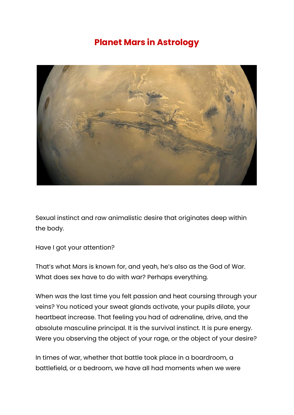## **Planet Mars in Astrology**



Sexual instinct and raw animalistic desire that originates deep within the body.

Have I got your attention?

That's what Mars is known for, and yeah, he's also as the God of War. What does sex have to do with war? Perhaps everything.

When was the last time you felt passion and heat coursing through your veins? You noticed your sweat glands activate, your pupils dilate, your heartbeat increase. That feeling you had of adrenaline, drive, and the absolute masculine principal. It is the survival instinct. It is pure energy. Were you observing the object of your rage, or the object of your desire?

In times of war, whether that battle took place in a boardroom, a battlefield, or a bedroom, we have all had moments when we were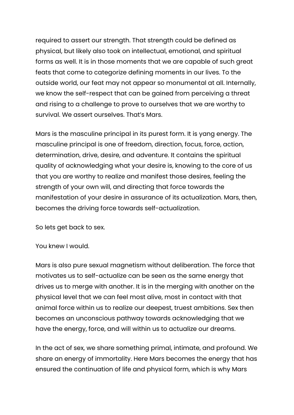required to assert our strength. That strength could be defined as physical, but likely also took on intellectual, emotional, and spiritual forms as well. It is in those moments that we are capable of such great feats that come to categorize defining moments in our lives. To the outside world, our feat may not appear so monumental at all. Internally, we know the self-respect that can be gained from perceiving a threat and rising to a challenge to prove to ourselves that we are worthy to survival. We assert ourselves. That's Mars.

Mars is the masculine principal in its purest form. It is yang energy. The masculine principal is one of freedom, direction, focus, force, action, determination, drive, desire, and adventure. It contains the spiritual quality of acknowledging what your desire is, knowing to the core of us that you are worthy to realize and manifest those desires, feeling the strength of your own will, and directing that force towards the manifestation of your desire in assurance of its actualization. Mars, then, becomes the driving force towards self-actualization.

So lets get back to sex.

You knew I would.

Mars is also pure sexual magnetism without deliberation. The force that motivates us to self-actualize can be seen as the same energy that drives us to merge with another. It is in the merging with another on the physical level that we can feel most alive, most in contact with that animal force within us to realize our deepest, truest ambitions. Sex then becomes an unconscious pathway towards acknowledging that we have the energy, force, and will within us to actualize our dreams.

In the act of sex, we share something primal, intimate, and profound. We share an energy of immortality. Here Mars becomes the energy that has ensured the continuation of life and physical form, which is why Mars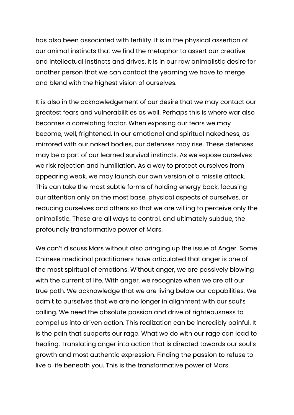has also been associated with fertility. It is in the physical assertion of our animal instincts that we find the metaphor to assert our creative and intellectual instincts and drives. It is in our raw animalistic desire for another person that we can contact the yearning we have to merge and blend with the highest vision of ourselves.

It is also in the acknowledgement of our desire that we may contact our greatest fears and vulnerabilities as well. Perhaps this is where war also becomes a correlating factor. When exposing our fears we may become, well, frightened. In our emotional and spiritual nakedness, as mirrored with our naked bodies, our defenses may rise. These defenses may be a part of our learned survival instincts. As we expose ourselves we risk rejection and humiliation. As a way to protect ourselves from appearing weak, we may launch our own version of a missile attack. This can take the most subtle forms of holding energy back, focusing our attention only on the most base, physical aspects of ourselves, or reducing ourselves and others so that we are willing to perceive only the animalistic. These are all ways to control, and ultimately subdue, the profoundly transformative power of Mars.

We can't discuss Mars without also bringing up the issue of Anger. Some Chinese medicinal practitioners have articulated that anger is one of the most spiritual of emotions. Without anger, we are passively blowing with the current of life. With anger, we recognize when we are off our true path. We acknowledge that we are living below our capabilities. We admit to ourselves that we are no longer in alignment with our soul's calling. We need the absolute passion and drive of righteousness to compel us into driven action. This realization can be incredibly painful. It is the pain that supports our rage. What we do with our rage can lead to healing. Translating anger into action that is directed towards our soul's growth and most authentic expression. Finding the passion to refuse to live a life beneath you. This is the transformative power of Mars.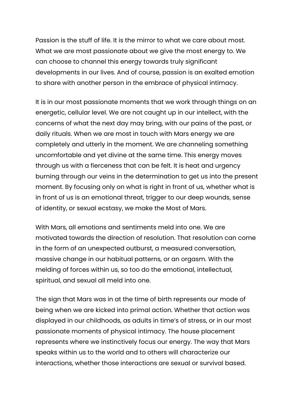Passion is the stuff of life. It is the mirror to what we care about most. What we are most passionate about we give the most energy to. We can choose to channel this energy towards truly significant developments in our lives. And of course, passion is an exalted emotion to share with another person in the embrace of physical intimacy.

It is in our most passionate moments that we work through things on an energetic, cellular level. We are not caught up in our intellect, with the concerns of what the next day may bring, with our pains of the past, or daily rituals. When we are most in touch with Mars energy we are completely and utterly in the moment. We are channeling something uncomfortable and yet divine at the same time. This energy moves through us with a fierceness that can be felt. It is heat and urgency burning through our veins in the determination to get us into the present moment. By focusing only on what is right in front of us, whether what is in front of us is an emotional threat, trigger to our deep wounds, sense of identity, or sexual ecstasy, we make the Most of Mars.

With Mars, all emotions and sentiments meld into one. We are motivated towards the direction of resolution. That resolution can come in the form of an unexpected outburst, a measured conversation, massive change in our habitual patterns, or an orgasm. With the melding of forces within us, so too do the emotional, intellectual, spiritual, and sexual all meld into one.

The sign that Mars was in at the time of birth represents our mode of being when we are kicked into primal action. Whether that action was displayed in our childhoods, as adults in time's of stress, or in our most passionate moments of physical intimacy. The house placement represents where we instinctively focus our energy. The way that Mars speaks within us to the world and to others will characterize our interactions, whether those interactions are sexual or survival based.